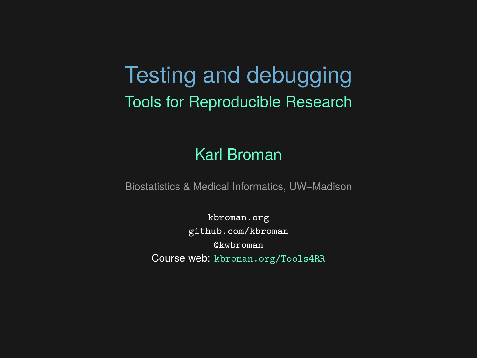## Testing and debugging Tools for Reproducible Research

#### Karl Broman

Biostatistics & Medical Informatics, UW–Madison

kbroman.org github.com/kbroman @kwbroman Course web: kbroman.org/Tools4RR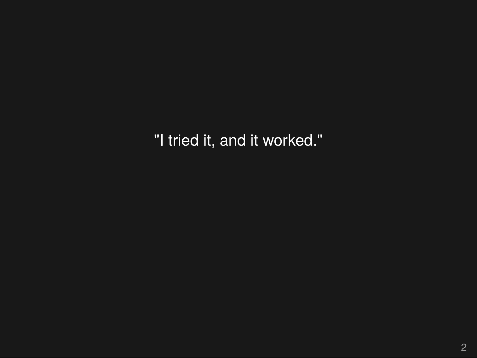"I tried it, and it worked."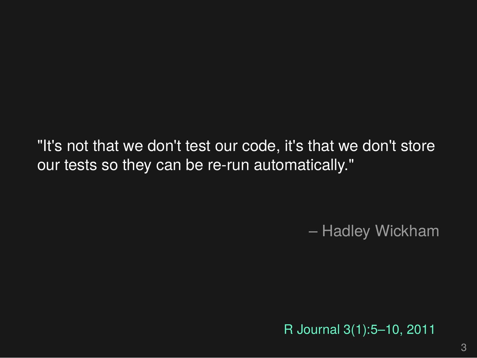"It's not that we don't test our code, it's that we don't store our tests so they can be re-run automatically."

– Hadley Wickham

R Journal 3(1):5–10, 2011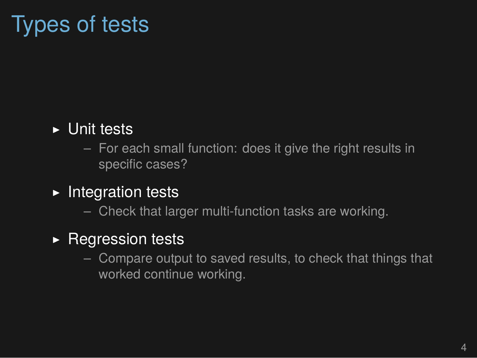## Types of tests

#### ▶ Unit tests

– For each small function: does it give the right results in specific cases?

#### ▶ Integration tests

– Check that larger multi-function tasks are working.

#### ▶ Regression tests

– Compare output to saved results, to check that things that worked continue working.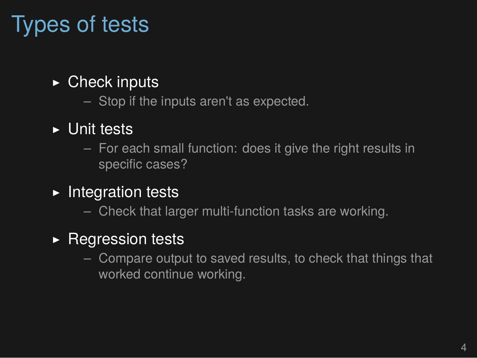## Types of tests

#### $\triangleright$  Check inputs

– Stop if the inputs aren't as expected.

#### ▶ Unit tests

– For each small function: does it give the right results in specific cases?

#### ▶ Integration tests

– Check that larger multi-function tasks are working.

#### ▶ Regression tests

– Compare output to saved results, to check that things that worked continue working.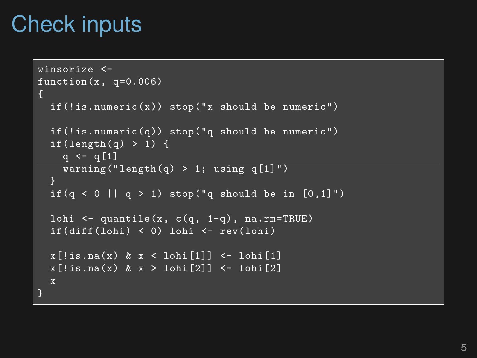## Check inputs

```
winsorize <-
function(x, q=0.006)
\mathcal{L}if(!is.numeric(x)) stop("x should be numeric")
  if(!is.numeric(q)) stop("q should be numeric")
  if(length(q) > 1) {
    q \leq -q[1]warning("length(q) > 1; using q[1]")
  if(q < 0 || q > 1) stop("q should be in [0,1]")
  lohi \leq quantile(x, c(q, 1-q), na.rm=TRUE)
  ifdiff(lohi) < 0) lohi <- rev(lohi)x[!is.na(x) & x < lohi[1]] \leftarrow lohi[1]
  x[!is.na(x) & x > lohi[2]] <- lohi[2]
  x
}
```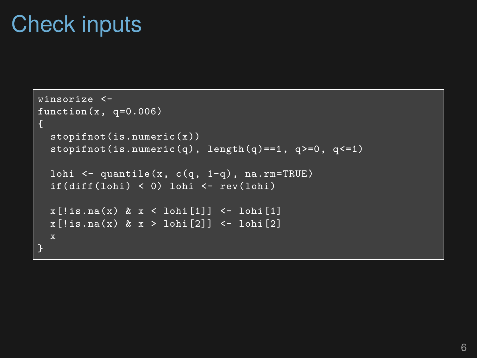## Check inputs

```
winsorize <-
function(x, q=0.006)
{
  stopifnot(is.numeric(x))
  stopifnot(is.numeric(q), length(q) ==1, q>=0, q <= 1)
  lohi \leq quantile(x, c(q, 1-q), na.rm=TRUE)
  if(diff(lohi) < 0) lohi <- rev(lohi)
 x[!is.na(x) & x < lohi[1]] <- lohi[1]
 x[!is.na(x) & x > lohi[2]] <- lohi[2]
 x
}
```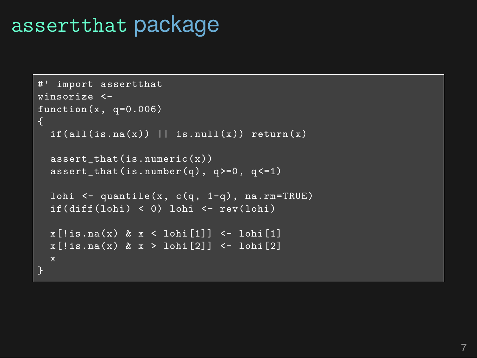## assertthat package

```
#' import assertthat
winsorize <-
function(x, q=0.006)
  if(all(is.na(x)) || is.null(x)) return(x)
  assert_that(is.numeric(x))
 assert_that(is.number(q), q>=0, q<=1)
  lohi <- quantile(x, c(q, 1-q), na.rm=TRUE)
  if(diff(lohi) < 0) lohi <- rev(lohi)
  x[!is.na(x) & x < lohi[1]] <- lohi[1]
  x[!is.na(x) & x > lohi[2]] <- lohi[2]
```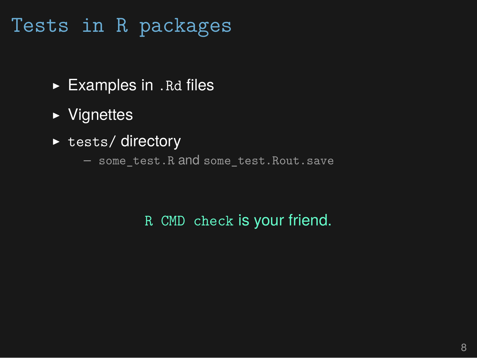#### Tests in R packages

- $\blacktriangleright$  Examples in . Rd files
- ▶ Vignettes
- ▶ tests/ directory
	- some\_test.R and some\_test.Rout.save

#### R CMD check is your friend.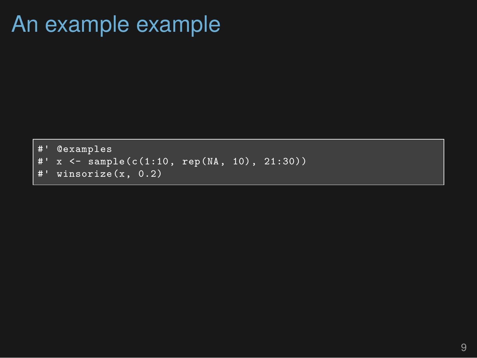#### An example example

```
#' @examples
#' x <- sample(c(1:10, rep(NA, 10), 21:30))
#' winsorize(x, 0.2)
```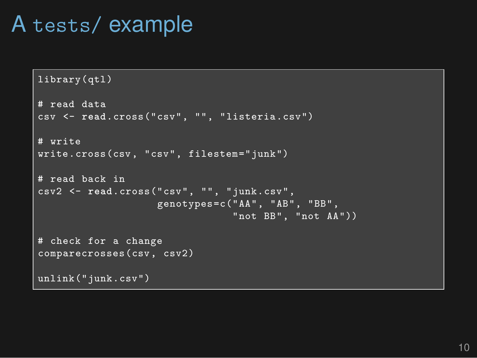#### A tests/ example

```
library(qtl)
# read data
csv <- read.cross("csv", "", "listeria.csv")
# write
write.cross(csv, "csv", filestem="junk")
# read back in
csv2 <- read.cross("csv", "", "junk.csv",
                   genotypes=c("AA", "AB", "BB",
                                "not BB", "not AA"))
# check for a change
comparecrosses(csv, csv2)
unlink("junk.csv")
```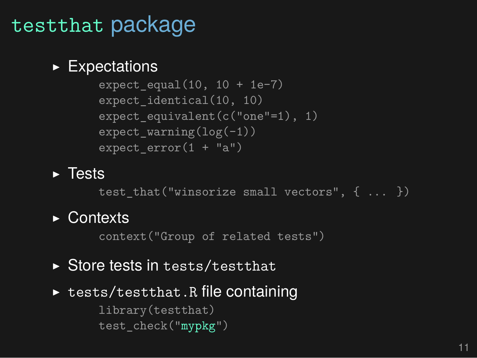## testthat package

#### ▶ Expectations

```
expect_equal(10, 10 + 1e-7)
expect_identical(10, 10)
expect_equivalent(c("one"=1), 1)
expect_warning(log(-1))
expect_error(1 + "a")
```
▶ Tests

test\_that("winsorize small vectors", { ... })

▶ Contexts

context("Group of related tests")

- ▶ Store tests in tests/testthat
- ▶ tests/testthat.R file containing library(testthat) test\_check("mypkg")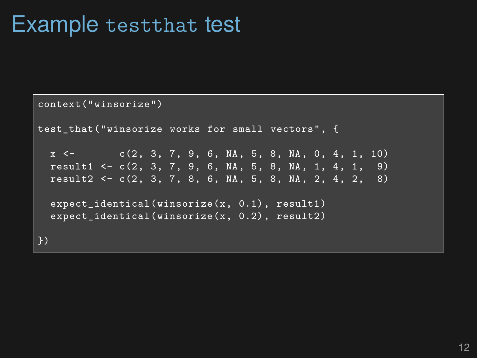#### Example testthat test

```
context("winsorize")
test_that("winsorize works for small vectors", {
  x \leq - c(2, 3, 7, 9, 6, NA, 5, 8, NA, 0, 4, 1, 10)
  result1 <- c(2, 3, 7, 9, 6, NA, 5, 8, NA, 1, 4, 1, 9)
  result2 <- c(2, 3, 7, 8, 6, NA, 5, 8, NA, 2, 4, 2, 8)
  expect_identical(winsorize(x, 0.1), result1)
  expect identical(winsorize(x, 0.2), result2)
})
```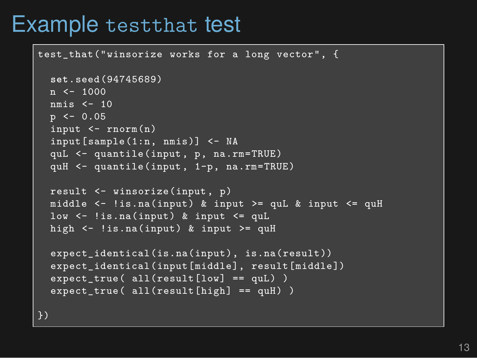#### Example testthat test

```
test that("winsorize works for a long vector", {
  set.seed(94745689)
  n \le -1000nmis <- 10
  p \le -0.05input <- rnorm(n)
  input[sample(1:n, nmis)] <- NA
  quL <- quantile(input, p, na.rm=TRUE)
  quH <- quantile(input, 1-p, na.rm=TRUE)
  result <- winsorize(input, p)
  middle \leq - !is.na(input) & input >= quL & input \leq - quH
  low \leq - !is.na(input) & input \leq - quL
  high \leftarrow ! is.na(input) & input >= quH
  expect identical(is.na(input), is.na(result))
  expect_identical(input[middle], result[middle])
  expect_true( all(result[low] == quL) )
  expect_true( all(result[high] == quH) )
```
})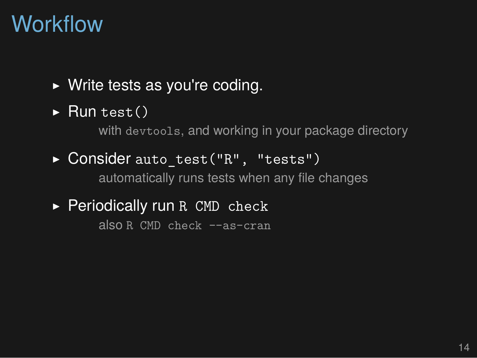## Workflow

- $\triangleright$  Write tests as you're coding.
- $\blacktriangleright$  Run test()

with devtools, and working in your package directory

- ▶ Consider auto test("R", "tests") automatically runs tests when any file changes
- ▶ Periodically run R CMD check

also R CMD check --as-cran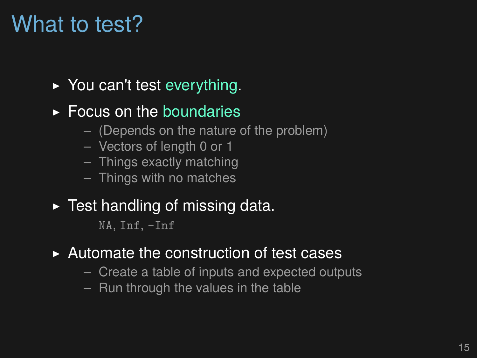## What to test?

- ▶ You can't test everything.
- $\triangleright$  Focus on the boundaries
	- (Depends on the nature of the problem)
	- Vectors of length 0 or 1
	- Things exactly matching
	- Things with no matches
- $\blacktriangleright$  Test handling of missing data.

NA, Inf, -Inf

- ▶ Automate the construction of test cases
	- Create a table of inputs and expected outputs
	- Run through the values in the table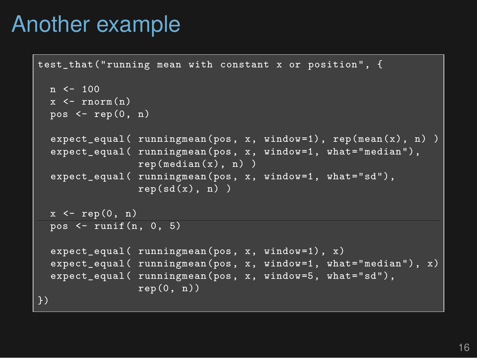## Another example

```
test that("running mean with constant x or position", {
  n \le -100x \leftarrow \text{rnorm}(n)pos \leftarrow rep(0, n)expect_equal( runningmean(pos, x, window=1), rep(mean(x), n) )
  expect_equal( runningmean(pos, x, window=1, what="median"),
                 rep(median(x), n))
  expect_equal( runningmean(pos, x, window=1, what="sd"),
                 rep(sd(x), n))
  x \leftarrow \text{rep}(0, n)pos <- runif(n, 0, 5)
  expect_equal( runningmean(pos, x, window=1), x)
  expect equal ( runningmean (pos, x, window=1, what="median"), x)
  expect_equal( runningmean(pos, x, window=5, what="sd"),
                 rep(0, n))
\})
```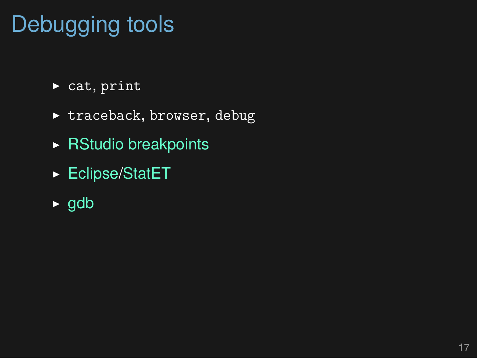# Debugging tools

- $\triangleright$  cat, print
- $\blacktriangleright$  traceback, browser, debug
- ▶ RStudio breakpoints
- ▶ Eclipse/StatET
- ▶ gdb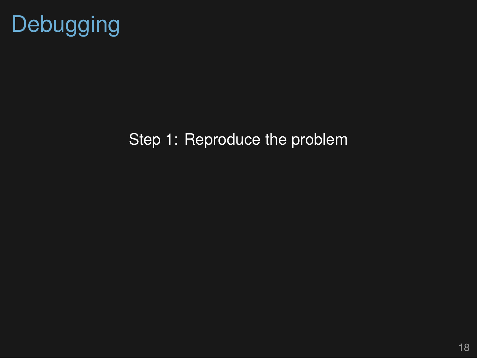

#### Step 1: Reproduce the problem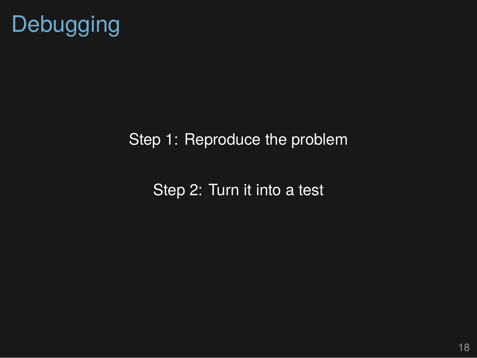

#### Step 1: Reproduce the problem

Step 2: Turn it into a test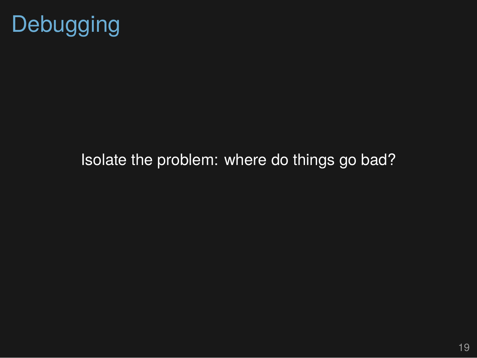

#### Isolate the problem: where do things go bad?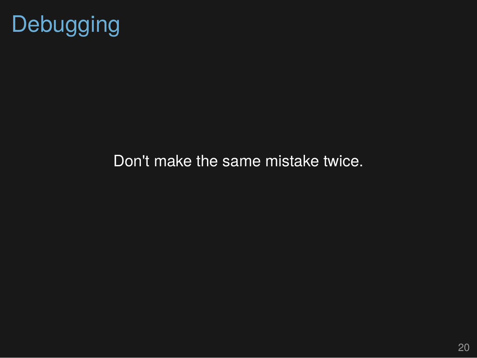

#### Don't make the same mistake twice.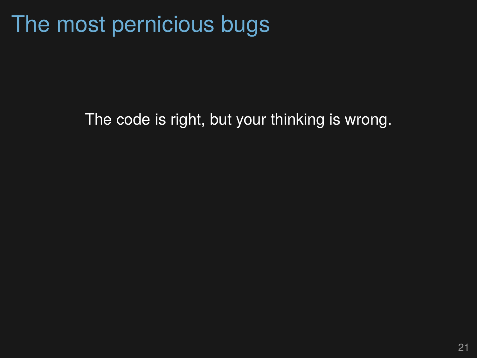## The most pernicious bugs

The code is right, but your thinking is wrong.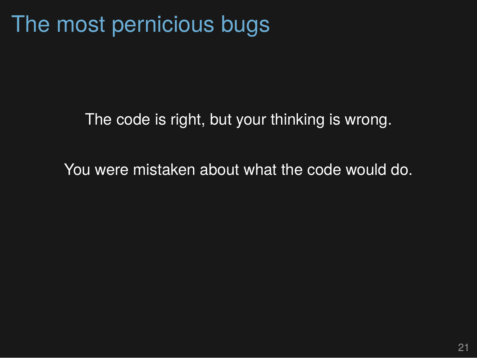## The most pernicious bugs

The code is right, but your thinking is wrong.

You were mistaken about what the code would do.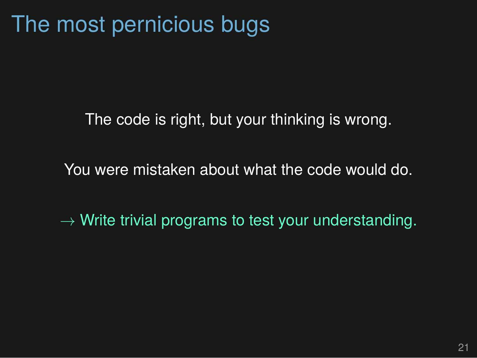## The most pernicious bugs

The code is right, but your thinking is wrong.

You were mistaken about what the code would do.

*→* Write trivial programs to test your understanding.